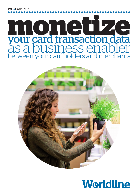WL • Cash Club

# **monetize** your card transaction data as a business enabler between your cardholders and merchants



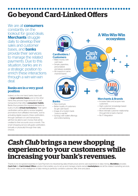## **Go beyond Card-Linked Offers**

We are all **consumers** constantly on the lookout for good deals. **Merchants** struggle daily to develop their sales and customer bases, and **banks** provide their services to manage the related payments. Due to this situation, banks are in a strategic position to enrich these interactions through a win-win-win deal.

### Banks are in a very good position

Indeed, on the one hand, banks have built up large customer bases, and on the other hand, they process huge amounts of card transactions that reflect consumers' habits. Banks thus possess the required elements to build a fruitful **virtual marketplace**. Their opt-in cardholders will be able to receive targeted promotions from affiliated merchants. Just by activating digital coupons, these cardholders, through cashback on card transactions, will then be able to earn money that will be credited to their accounts once a month. This smart shopping service will guide cardholders (virtually or physically) through their daily choices.



- "close to real life"
- Synergy with wallet offerings and online banking
- through link to bank channel
- No IT integration

### *Cash Club* **brings a new shopping experience to your customers while increasing your bank's revenues.**

Thanks to its recognized expertise in Card Payment, its industrial big data infrastructure and its vast experience in data mining, Worldline provides **Cash Club**, its **Card-Linked Offers** solution that enables you to set up and manage a bank-owned marketplace and all the related marketing services. Its power relies on the intelligence of data mining to perfectly combine customer, offer, time and place.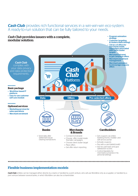### *Cash Club* provides rich functional services in a win-win-win eco-system. A ready-to-run solution that can be fully tailored to your needs.



#### Flexible business implementation models

*Cash Club* entities can be managed either directly by a bank or handled by a joint venture, who will use Worldline only as a supplier, or handled by a joint venture between several banks, in which Worldline can also be a shareholder.